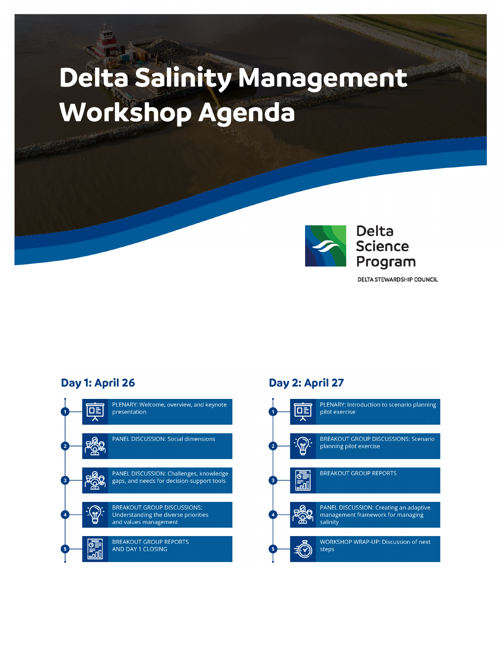# **Delta Salinity Management Workshop Agenda**



**DELTA STEWARDSHIP COUNCIL** 

## Day 1: April 26



## Day 2: April 27

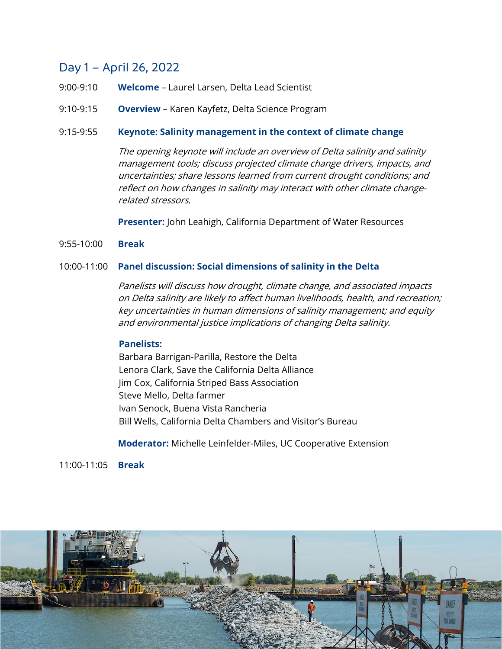# Day 1 – April 26, 2022

- 9:00-9:10 **Welcome** Laurel Larsen, Delta Lead Scientist
- 9:10-9:15 **Overview** Karen Kayfetz, Delta Science Program

## 9:15-9:55 **Keynote: Salinity management in the context of climate change**

The opening keynote will include an overview of Delta salinity and salinity management tools; discuss projected climate change drivers, impacts, and uncertainties; share lessons learned from current drought conditions; and reflect on how changes in salinity may interact with other climate changerelated stressors.

**Presenter:** John Leahigh, California Department of Water Resources

## 9:55-10:00 **Break**

## 10:00-11:00 **Panel discussion: Social dimensions of salinity in the Delta**

Panelists will discuss how drought, climate change, and associated impacts on Delta salinity are likely to affect human livelihoods, health, and recreation; key uncertainties in human dimensions of salinity management; and equity and environmental justice implications of changing Delta salinity.

### **Panelists:**

Barbara Barrigan-Parilla, Restore the Delta Lenora Clark, Save the California Delta Alliance Jim Cox, California Striped Bass Association Steve Mello, Delta farmer Ivan Senock, Buena Vista Rancheria Bill Wells, California Delta Chambers and Visitor's Bureau

**Moderator:** Michelle Leinfelder-Miles, UC Cooperative Extension

11:00-11:05 **Break**

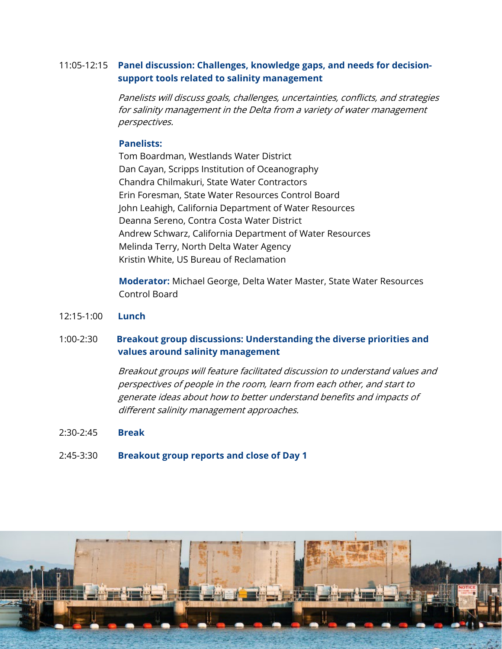## 11:05-12:15 **Panel discussion: Challenges, knowledge gaps, and needs for decisionsupport tools related to salinity management**

Panelists will discuss goals, challenges, uncertainties, conflicts, and strategies for salinity management in the Delta from <sup>a</sup> variety of water management perspectives.

## **Panelists:**

Tom Boardman, Westlands Water District Dan Cayan, Scripps Institution of Oceanography Chandra Chilmakuri, State Water Contractors Erin Foresman, State Water Resources Control Board John Leahigh, California Department of Water Resources Deanna Sereno, Contra Costa Water District Andrew Schwarz, California Department of Water Resources Melinda Terry, North Delta Water Agency Kristin White, US Bureau of Reclamation

**Moderator:** Michael George, Delta Water Master, State Water Resources Control Board

12:15-1:00 **Lunch**

## 1:00-2:30 **Breakout group discussions: Understanding the diverse priorities and values around salinity management**

Breakout groups will feature facilitated discussion to understand values and perspectives of people in the room, learn from each other, and start to generate ideas about how to better understand benefits and impacts of different salinity management approaches.

- 2:30-2:45 **Break**
- 2:45-3:30 **Breakout group reports and close of Day 1**

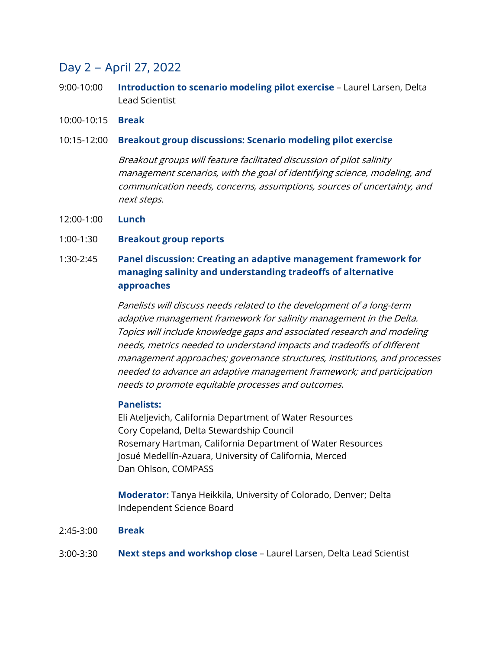# Day 2 – April 27, 2022

- 9:00-10:00 **Introduction to scenario modeling pilot exercise**  Laurel Larsen, Delta Lead Scientist
- 10:00-10:15 **Break**
- 10:15-12:00 **Breakout group discussions: Scenario modeling pilot exercise**

Breakout groups will feature facilitated discussion of pilot salinity management scenarios, with the goal of identifying science, modeling, and communication needs, concerns, assumptions, sources of uncertainty, and next steps.

- 12:00-1:00 **Lunch**
- 1:00-1:30 **Breakout group reports**

#### 1:30-2:45 **Panel discussion: Creating an adaptive management framework for managing salinity and understanding tradeoffs of alternative approaches**

Panelists will discuss needs related to the development of <sup>a</sup> long-term adaptive management framework for salinity management in the Delta. Topics will include knowledge gaps and associated research and modeling needs, metrics needed to understand impacts and tradeoffs of different management approaches; governance structures, institutions, and processes needed to advance an adaptive management framework; and participation needs to promote equitable processes and outcomes.

## **Panelists:**

Eli Ateljevich, California Department of Water Resources Cory Copeland, Delta Stewardship Council Rosemary Hartman, California Department of Water Resources Josué Medellín-Azuara, University of California, Merced Dan Ohlson, COMPASS

**Moderator:** Tanya Heikkila, University of Colorado, Denver; Delta Independent Science Board

- 2:45-3:00 **Break**
- 3:00-3:30 **Next steps and workshop close** – Laurel Larsen, Delta Lead Scientist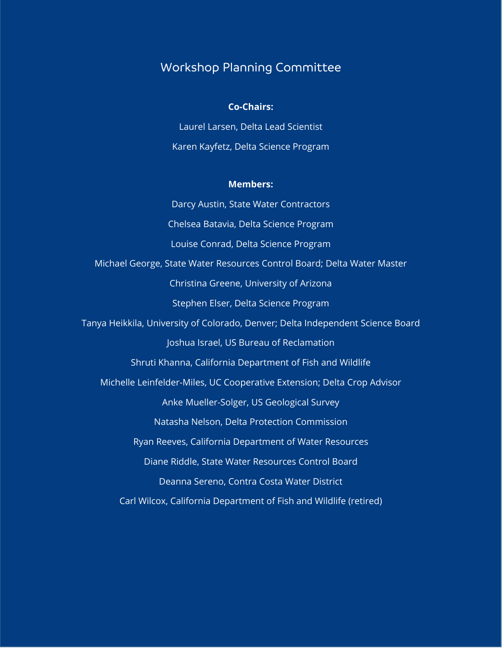## Workshop Planning Committee

#### **Co-Chairs:**

Laurel Larsen, Delta Lead Scientist Karen Kayfetz, Delta Science Program

#### **Members:**

Darcy Austin, State Water Contractors Chelsea Batavia, Delta Science Program Louise Conrad, Delta Science Program Michael George, State Water Resources Control Board; Delta Water Master Christina Greene, University of Arizona Stephen Elser, Delta Science Program Tanya Heikkila, University of Colorado, Denver; Delta Independent Science Board Joshua Israel, US Bureau of Reclamation Shruti Khanna, California Department of Fish and Wildlife Michelle Leinfelder-Miles, UC Cooperative Extension; Delta Crop Advisor Anke Mueller-Solger, US Geological Survey Natasha Nelson, Delta Protection Commission Ryan Reeves, California Department of Water Resources Diane Riddle, State Water Resources Control Board Deanna Sereno, Contra Costa Water District Carl Wilcox, California Department of Fish and Wildlife (retired)